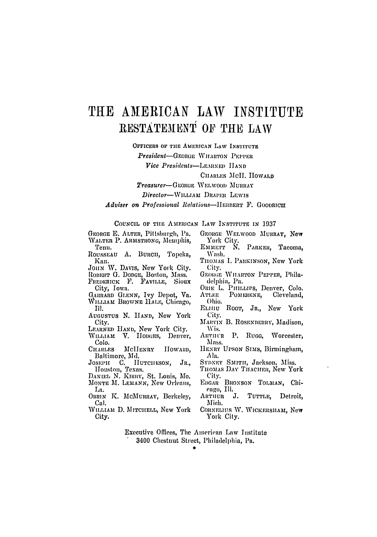## THE AMERICAN LAW INSTITUTE RESTATEMENT OF THE LAW

OFFICERS OF THE AMERICAN LAW INSTITUTE

**President-GEORGE WITARTON PEPPER** 

Vice Presidents-LEARNED HAND

CHARLES McII. HOWARD

Treasurer-GEORGE WELWOOD MURRAY

Director-WILLIAM DRAPER LEWIS

Adviser on Professional Relations-HERBERT F. GOODRICH

COUNCIL OF THE AMERICAN LAW INSTITUTE IN 1937

GEORGE E. ALTER, Pittsburgh, Pa. WALTER P. ARMSTRONG, Memphis, Tenn.

ROUSSEAU A. BURCH, Topeka, Kan.

JOHN W. DAVIS, New York City.

ROBERT G. DODGE, Boston, Mass.

FREDERICK F. FAVILLE, Sioux City, Iowa.

GARRARD GLENN, Ivy Depot, Va. WILLIAM BROWNE HALE, Chicago, III.

AUGUSTUS N. HAND, New York City.

- LEARNED HAND, New York City.<br>WILLIAM V. HODGES, Denver, Colo.
- **CHARLES** MclIENRY HOWARD. Baltimore, Md.

JOSEPH C. HUTCHESON, JR., Houston, Texas.<br>DANIEL N. KIRBY, St. Louis, Mo.

MONTE M. LEMANN, New Orleans,

La. ORRIN K. MCMURRAY, Berkeley,

Cal.

WILLIAM D. MITCHELL, New York City.

- GEORGE WELWOOD MURRAY, New York City.
- Емметт М. PARKER. Tacoma. Wash.
- THOMAS I. PARKINSON, New York City.
- GEORGE WHARTON PEPPER, Philadelphia, Pa.
- ORIE L. PHILLIPS, Denver, Colo. ATLEE POMERENE, Cleveland, Ohio.
- ELHIU Root, JR., New York City.
- MARVIN B. ROSENBERRY, Madison, Wis.
- ARTHUR P. Rugg. Worcester, Mass.
- HENRY UPSON SIMS, Birmingham, Ala.
- SYDNEY SMITH, Jackson, Miss.
- THOMAS DAY THACHER, New York City.
- EDGAR BRONSON TOLMAN, Chieago, Ill.
- ARTHUR J. TUTTLE, Detroit. Mich.
- CORNELIUS W. WICKERSHAM, New York City.

Executive Offices, The American Law Institute 3400 Chestnut Street, Philadelphia, Pa.